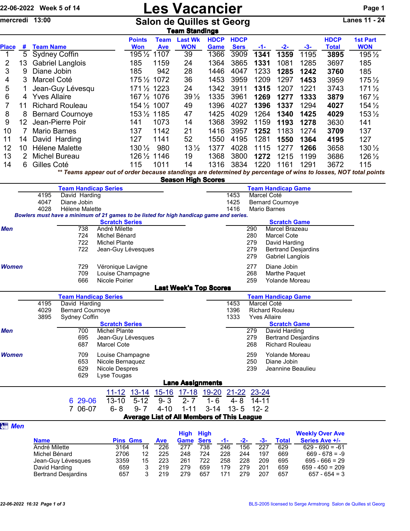|                                                                                                                                                                       |                                                                                                                                              | 22-06-2022 Week 5 of 14      |                                                                                         |                                        | <b>Les Vacancier</b>                          |                   |                                                   |                     |                     |                                      |                                             |                      |                                            |                       |  |
|-----------------------------------------------------------------------------------------------------------------------------------------------------------------------|----------------------------------------------------------------------------------------------------------------------------------------------|------------------------------|-----------------------------------------------------------------------------------------|----------------------------------------|-----------------------------------------------|-------------------|---------------------------------------------------|---------------------|---------------------|--------------------------------------|---------------------------------------------|----------------------|--------------------------------------------|-----------------------|--|
| mercredi 13:00<br><b>Salon de Quilles st Georg</b><br><b>Team Standings</b>                                                                                           |                                                                                                                                              |                              |                                                                                         |                                        |                                               |                   |                                                   |                     |                     |                                      |                                             | <b>Lanes 11 - 24</b> |                                            |                       |  |
|                                                                                                                                                                       |                                                                                                                                              |                              |                                                                                         |                                        | <b>Points</b>                                 | <b>Team</b>       | <b>Last Wk</b>                                    | <b>HDCP</b>         | <b>HDCP</b>         |                                      |                                             |                      | <b>HDCP</b>                                | <b>1st Part</b>       |  |
| <b>Place</b><br>1                                                                                                                                                     | #<br>5                                                                                                                                       | <b>Team Name</b>             |                                                                                         |                                        | <b>Won</b><br>195 1/2 1107                    | <b>Ave</b>        | <b>WON</b><br>39                                  | <b>Game</b><br>1366 | <b>Sers</b><br>3909 | -1-<br>1341                          | -2-<br>1359                                 | $-3-$<br>1195        | <b>Total</b><br>3895                       | <b>WON</b><br>195 1/2 |  |
| $\overline{\mathbf{c}}$                                                                                                                                               | 13                                                                                                                                           | <b>Sydney Coffin</b>         | <b>Gabriel Langlois</b>                                                                 |                                        | 185                                           | 1159              | 24                                                | 1364                | 3865                | 1331                                 | 1081                                        | 1285                 | 3697                                       | 185                   |  |
| 3                                                                                                                                                                     | 9                                                                                                                                            | Diane Jobin                  |                                                                                         |                                        | 185                                           | 942               | 28                                                | 1446                | 4047                | 1233                                 | 1285                                        | 1242                 | 3760                                       | 185                   |  |
| 4                                                                                                                                                                     | 3                                                                                                                                            | Marcel Coté                  |                                                                                         |                                        | 1751/2 1072                                   |                   | 36                                                | 1453                | 3959                | 1209                                 | 1297                                        | 1453                 | 3959                                       | $175\frac{1}{2}$      |  |
| 5                                                                                                                                                                     | 1                                                                                                                                            |                              | Jean-Guy Lévesqu                                                                        |                                        | 1711/2 1223                                   |                   | 24                                                | 1342                | 3911                | 1315                                 | 1207                                        | 1221                 | 3743                                       | $171\frac{1}{2}$      |  |
| 6                                                                                                                                                                     |                                                                                                                                              | 4 Yves Allaire               |                                                                                         |                                        | 167 1/2 1076                                  |                   | $39\frac{1}{2}$                                   | 1335                | 3961                | 1269                                 | 1277                                        | 1333                 | 3879                                       | 167 1/2               |  |
| $\overline{7}$                                                                                                                                                        | 11                                                                                                                                           |                              | <b>Richard Rouleau</b>                                                                  |                                        | 154 1/2 1007                                  |                   | 49                                                | 1396                | 4027                | 1396                                 | 1337                                        | 1294                 | 4027                                       | $154\frac{1}{2}$      |  |
| 8                                                                                                                                                                     |                                                                                                                                              |                              | <b>Bernard Cournoye</b>                                                                 |                                        | 1531/2 1185                                   |                   | 47                                                | 1425                | 4029                | 1264                                 | 1340                                        | 1425                 | 4029                                       | $153\frac{1}{2}$      |  |
| 9                                                                                                                                                                     | 12                                                                                                                                           |                              | Jean-Pierre Poir                                                                        |                                        | 141                                           | 1073              | 14                                                | 1368                | 3992                | 1159                                 | 1193                                        | 1278                 | 3630                                       | 141                   |  |
| 10<br>11                                                                                                                                                              | 7<br>14                                                                                                                                      | <b>Mario Barnes</b>          | David Harding                                                                           |                                        | 137<br>127                                    | 1142<br>1141      | 21<br>52                                          | 1416<br>1550        | 3957<br>4195        | 1252<br>1281                         | 1183<br>1550                                | 1274<br>1364         | 3709<br>4195                               | 137<br>127            |  |
| 12                                                                                                                                                                    | 10 <sup>°</sup>                                                                                                                              |                              | Hélene Malette                                                                          |                                        | $130\frac{1}{2}$                              | 980               | $13\frac{1}{2}$                                   | 1377                | 4028                | 1115                                 | 1277                                        | 1266                 | 3658                                       | 130 1/2               |  |
| 13                                                                                                                                                                    | 2                                                                                                                                            | <b>Michel Bureau</b>         |                                                                                         |                                        | 126 1/2 1146                                  |                   | 19                                                | 1368                | 3800                | 1272                                 | 1215                                        | 1199                 | 3686                                       | 126 1/2               |  |
| 14                                                                                                                                                                    | 6                                                                                                                                            | Gilles Coté                  |                                                                                         |                                        | 115                                           | 1011              | 14                                                | 1316                | 3834                | 1220                                 | 1161                                        | 1291                 | 3672                                       | 115                   |  |
|                                                                                                                                                                       | ** Teams appear out of order because standings are determined by percentage of wins to losses, NOT total points<br><b>Season High Scores</b> |                              |                                                                                         |                                        |                                               |                   |                                                   |                     |                     |                                      |                                             |                      |                                            |                       |  |
|                                                                                                                                                                       | <b>Team Handicap Game</b><br><b>Team Handicap Series</b>                                                                                     |                              |                                                                                         |                                        |                                               |                   |                                                   |                     |                     |                                      |                                             |                      |                                            |                       |  |
|                                                                                                                                                                       |                                                                                                                                              | 4195<br>4047                 | David Harding<br>Diane Jobin                                                            |                                        |                                               |                   |                                                   |                     | 1453<br>1425        | Marcel Coté                          | <b>Bernard Cournoye</b>                     |                      |                                            |                       |  |
|                                                                                                                                                                       |                                                                                                                                              | 4028                         | Hélene Malette                                                                          |                                        |                                               |                   |                                                   |                     | 1416                |                                      | Mario Barnes                                |                      |                                            |                       |  |
|                                                                                                                                                                       |                                                                                                                                              |                              | Bowlers must have a minimum of 21 games to be listed for high handicap game and series. |                                        |                                               |                   |                                                   |                     |                     |                                      |                                             |                      |                                            |                       |  |
| Men                                                                                                                                                                   |                                                                                                                                              |                              | 738                                                                                     | <b>Scratch Series</b><br>André Milette |                                               |                   |                                                   |                     |                     | 290                                  | <b>Scratch Game</b><br>Marcel Brazeau       |                      |                                            |                       |  |
|                                                                                                                                                                       |                                                                                                                                              |                              | 724                                                                                     | Michel Bénard                          |                                               |                   |                                                   |                     |                     | 280                                  | <b>Marcel Cote</b>                          |                      |                                            |                       |  |
|                                                                                                                                                                       |                                                                                                                                              |                              | 722<br>722                                                                              | Michel Plante<br>Jean-Guy Lévesques    |                                               |                   |                                                   |                     |                     | 279<br>279                           | David Harding<br><b>Bertrand Desjardins</b> |                      |                                            |                       |  |
|                                                                                                                                                                       |                                                                                                                                              |                              |                                                                                         |                                        |                                               |                   |                                                   |                     |                     | 279                                  | Gabriel Langlois                            |                      |                                            |                       |  |
| <b>Women</b>                                                                                                                                                          |                                                                                                                                              |                              | 729                                                                                     | Véronique Lavigne                      |                                               |                   |                                                   |                     | 277                 | Diane Jobin                          |                                             |                      |                                            |                       |  |
|                                                                                                                                                                       |                                                                                                                                              |                              | 709                                                                                     | Louise Champagne<br>268                |                                               |                   |                                                   |                     |                     | Marthe Paquet                        |                                             |                      |                                            |                       |  |
|                                                                                                                                                                       |                                                                                                                                              |                              | 666                                                                                     | Nicole Poirier                         |                                               |                   | <b>Last Week's Top Scores</b>                     |                     |                     | 259                                  | Yolande Moreau                              |                      |                                            |                       |  |
|                                                                                                                                                                       |                                                                                                                                              |                              | <b>Team Handicap Series</b>                                                             |                                        |                                               |                   |                                                   |                     |                     |                                      | <b>Team Handicap Game</b>                   |                      |                                            |                       |  |
|                                                                                                                                                                       |                                                                                                                                              | 4195                         | David Harding                                                                           |                                        | 1453<br>Marcel Coté<br><b>Richard Rouleau</b> |                   |                                                   |                     |                     |                                      |                                             |                      |                                            |                       |  |
|                                                                                                                                                                       |                                                                                                                                              | 4029<br>3895                 | <b>Bernard Cournoye</b><br>Sydney Coffin                                                |                                        |                                               |                   |                                                   |                     | 1396<br>1333        | <b>Yves Allaire</b>                  |                                             |                      |                                            |                       |  |
|                                                                                                                                                                       |                                                                                                                                              |                              |                                                                                         | <b>Scratch Series</b>                  |                                               |                   |                                                   |                     |                     |                                      | <b>Scratch Game</b>                         |                      |                                            |                       |  |
| Men                                                                                                                                                                   |                                                                                                                                              |                              | 700<br>695                                                                              | Michel Plante<br>Jean-Guy Lévesques    |                                               |                   |                                                   |                     |                     | 279<br>279                           | David Harding<br><b>Bertrand Desjardins</b> |                      |                                            |                       |  |
|                                                                                                                                                                       |                                                                                                                                              |                              | 687                                                                                     | Marcel Cote                            |                                               |                   |                                                   |                     |                     | 268                                  | <b>Richard Rouleau</b>                      |                      |                                            |                       |  |
| Women                                                                                                                                                                 |                                                                                                                                              |                              | 709                                                                                     | Louise Champagne                       |                                               |                   |                                                   |                     |                     | 259                                  | Yolande Moreau                              |                      |                                            |                       |  |
|                                                                                                                                                                       |                                                                                                                                              |                              | 653                                                                                     | Nicole Bernaquez                       |                                               |                   |                                                   |                     |                     | 250                                  | Diane Jobin                                 |                      |                                            |                       |  |
|                                                                                                                                                                       |                                                                                                                                              |                              | 629<br>629                                                                              | Nicole Despres                         |                                               |                   |                                                   |                     |                     | 239                                  | Jeannine Beaulieu                           |                      |                                            |                       |  |
|                                                                                                                                                                       |                                                                                                                                              |                              |                                                                                         | Lyse Tougas                            |                                               |                   | <b>Lane Assignments</b>                           |                     |                     |                                      |                                             |                      |                                            |                       |  |
|                                                                                                                                                                       |                                                                                                                                              |                              |                                                                                         | $11 - 12$                              | $13 - 14$                                     | $15 - 16$         | $17 - 18$                                         | <u>19-20</u>        | $21 - 22$           | 23-24                                |                                             |                      |                                            |                       |  |
|                                                                                                                                                                       |                                                                                                                                              |                              | 29-06<br>6                                                                              | $13 - 10$                              | $5 - 12$                                      | $9 - 3$           | $2 - 7$                                           | $1 - 6$             | $4 - 8$             | $14 - 11$                            |                                             |                      |                                            |                       |  |
|                                                                                                                                                                       |                                                                                                                                              |                              | 7 06-07                                                                                 | $6 - 8$                                | $9 - 7$                                       | $4 - 10$          | $1 - 11$                                          | $3 - 14$            | $13 - 5$            | $12 - 2$                             |                                             |                      |                                            |                       |  |
| <b>图 Men</b>                                                                                                                                                          |                                                                                                                                              |                              |                                                                                         |                                        |                                               |                   | <b>Average List of All Members of This League</b> |                     |                     |                                      |                                             |                      |                                            |                       |  |
|                                                                                                                                                                       |                                                                                                                                              |                              |                                                                                         |                                        |                                               |                   | <b>High High</b>                                  |                     |                     |                                      |                                             |                      | <b>Weekly Over Ave</b>                     |                       |  |
|                                                                                                                                                                       |                                                                                                                                              | <b>Name</b><br>André Milette |                                                                                         | 3164                                   | <b>Pins Gms</b><br>14                         | <b>Ave</b><br>226 | Game<br>277                                       | <b>Sers</b><br>738  | $-1-$<br>246        | $-2-$<br>$-3-$<br>156<br>227         | <b>Total</b><br>629                         |                      | <b>Series Ave +/-</b><br>$629 - 690 = -61$ |                       |  |
|                                                                                                                                                                       |                                                                                                                                              | Michel Bénard                |                                                                                         | 2706                                   | 12                                            | 225               | 248                                               | 724                 | 228                 | 244<br>197                           | 669                                         |                      | $669 - 678 = -9$                           |                       |  |
|                                                                                                                                                                       |                                                                                                                                              |                              | Jean-Guy Lévesques                                                                      | 3359                                   | 15                                            | 223               | 261                                               | 722                 | 258                 | 228<br>209                           | 695                                         |                      | $695 - 666 = 29$                           |                       |  |
| David Harding<br>3<br>279<br>659<br>659<br>659<br>219<br>179<br>279<br>201<br>657<br>3<br>219<br>279<br>657<br>171<br>279<br>207<br>657<br><b>Bertrand Desjardins</b> |                                                                                                                                              |                              |                                                                                         |                                        |                                               |                   |                                                   |                     |                     | $659 - 450 = 209$<br>$657 - 654 = 3$ |                                             |                      |                                            |                       |  |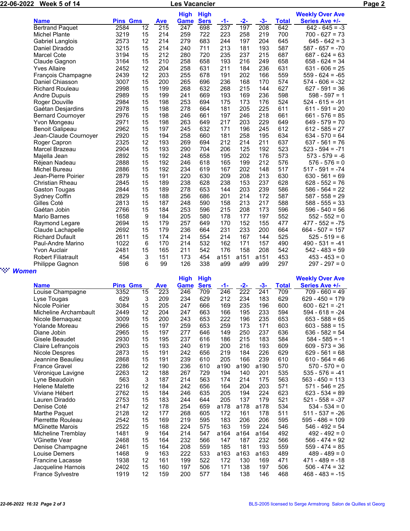| 22-06-2022<br>Week 5 of 14         |                           |                            |                 |                   | <b>Les Vacancier</b> |             |       |       |       | Page 2                 |                   |  |  |  |
|------------------------------------|---------------------------|----------------------------|-----------------|-------------------|----------------------|-------------|-------|-------|-------|------------------------|-------------------|--|--|--|
|                                    |                           | <b>High</b><br><b>High</b> |                 |                   |                      |             |       |       |       | <b>Weekly Over Ave</b> |                   |  |  |  |
|                                    | <b>Name</b>               |                            | <b>Pins Gms</b> |                   | Game                 | <b>Sers</b> | $-1-$ | $-2-$ | $-3-$ | <b>Total</b>           | Series Ave +/-    |  |  |  |
|                                    | <b>Bertrand Paquet</b>    | 2584                       | 12              | <b>Ave</b><br>215 | $\overline{247}$     | 698         | 237   | 197   | 208   | 642                    | $642 - 645 = -3$  |  |  |  |
|                                    | <b>Michel Plante</b>      | 3219                       | 15              | 214               | 259                  | 722         | 223   | 258   | 219   | 700                    | $700 - 627 = 73$  |  |  |  |
|                                    | Gabriel Langlois          | 2573                       | 12              | 214               | 279                  | 683         | 244   | 197   | 204   | 645                    | $645 - 642 = 3$   |  |  |  |
|                                    | Daniel Diraddo            | 3215                       | 15              | 214               | 240                  | 711         | 213   | 181   | 193   | 587                    | $587 - 657 = -70$ |  |  |  |
|                                    | Marcel Cote               | 3194                       | 15              | 212               | 280                  | 720         | 235   | 237   | 215   | 687                    | $687 - 624 = 63$  |  |  |  |
|                                    | Claude Gagnon             | 3164                       | 15              | 210               | 258                  | 658         | 193   | 216   | 249   | 658                    | $658 - 624 = 34$  |  |  |  |
|                                    | <b>Yves Allaire</b>       | 2452                       | 12              | 204               | 258                  | 631         | 211   | 184   | 236   | 631                    | $631 - 606 = 25$  |  |  |  |
|                                    | François Champagne        | 2439                       | 12              | 203               | 255                  | 678         | 191   | 202   | 166   | 559                    | $559 - 624 = -65$ |  |  |  |
|                                    | Daniel Chiasson           | 3007                       | 15              | 200               | 265                  | 696         | 236   | 168   | 170   | 574                    | $574 - 606 = -32$ |  |  |  |
|                                    | <b>Richard Rouleau</b>    | 2998                       | 15              | 199               | 268                  | 632         | 268   | 215   | 144   | 627                    | $627 - 591 = 36$  |  |  |  |
|                                    | <b>Andre Dupuis</b>       | 2989                       | 15              | 199               | 241                  | 669         | 193   | 169   | 236   | 598                    | $598 - 597 = 1$   |  |  |  |
|                                    | Roger Douville            | 2984                       | 15              | 198               | 253                  | 694         | 175   | 173   | 176   | 524                    | $524 - 615 = -91$ |  |  |  |
|                                    | Gaétan Desjardins         | 2978                       | 15              | 198               | 278                  | 664         | 181   | 205   | 225   | 611                    | $611 - 591 = 20$  |  |  |  |
|                                    | <b>Bernard Cournoyer</b>  | 2976                       | 15              | 198               | 246                  | 661         | 197   | 246   | 218   | 661                    | $661 - 576 = 85$  |  |  |  |
|                                    | Yvon Mongeau              | 2971                       | 15              | 198               | 263                  | 649         | 217   | 203   | 229   | 649                    | $649 - 579 = 70$  |  |  |  |
|                                    | <b>Benoit Galipeau</b>    | 2962                       | 15              | 197               | 245                  | 632         | 171   | 196   | 245   | 612                    | $612 - 585 = 27$  |  |  |  |
|                                    | Jean-Claude Cournoyer     | 2920                       | 15              | 194               | 258                  | 660         | 181   | 258   | 195   | 634                    | $634 - 570 = 64$  |  |  |  |
|                                    | Roger Capron              | 2325                       | 12              | 193               | 269                  | 694         | 212   | 214   | 211   | 637                    | $637 - 561 = 76$  |  |  |  |
|                                    | Marcel Brazeau            | 2904                       | 15              | 193               | 290                  | 704         | 206   | 125   | 192   | 523                    | $523 - 594 = -71$ |  |  |  |
|                                    | Majella Jean              | 2892                       | 15              | 192               | 248                  | 658         | 195   | 202   | 176   | 573                    | $573 - 579 = -6$  |  |  |  |
|                                    | Réjean Nadeau             | 2888                       | 15              | 192               | 246                  | 618         | 165   | 199   | 212   | 576                    | $576 - 576 = 0$   |  |  |  |
|                                    | Michel Bureau             | 2886                       | 15              | 192               | 234                  | 619         | 167   | 202   | 148   | 517                    | $517 - 591 = -74$ |  |  |  |
|                                    | Jean-Pierre Poirier       | 2879                       | 15              | 191               | 220                  | 630         | 209   | 208   | 213   | 630                    | $630 - 561 = 69$  |  |  |  |
|                                    | <b>Christian Rheau</b>    | 2845                       | 15              | 189               | 238                  | 628         | 238   | 153   | 237   | 628                    | $628 - 552 = 76$  |  |  |  |
|                                    | <b>Gaston Tougas</b>      | 2844                       | 15              | 189               | 278                  | 653         | 144   | 203   | 239   | 586                    | $586 - 564 = 22$  |  |  |  |
|                                    | Sydney Coffin             | 2829                       | 15              | 188               | 256                  | 686         | 201   | 214   | 172   | 587                    | $587 - 558 = 29$  |  |  |  |
|                                    | Gilles Coté               | 2813                       | 15              | 187               | 248                  | 590         | 158   | 213   | 217   | 588                    | $588 - 555 = 33$  |  |  |  |
|                                    | Gaétan Jobin              | 2766                       | 15              | 184               | 253                  | 596         | 215   | 208   | 173   | 596                    | $596 - 540 = 56$  |  |  |  |
|                                    | <b>Mario Barnes</b>       | 1658                       | 9               | 184               | 205                  | 580         | 178   | 177   | 197   | 552                    | $552 - 552 = 0$   |  |  |  |
|                                    | Raymond Legare            | 2694                       | 15              | 179               | 257                  | 649         | 170   | 152   | 155   | 477                    | $477 - 552 = -75$ |  |  |  |
|                                    | Claude Lachapelle         | 2692                       | 15              | 179               | 236                  | 664         | 231   | 233   | 200   | 664                    | $664 - 507 = 157$ |  |  |  |
|                                    | <b>Richard Dufault</b>    | 2611                       | 15              | 174               | 214                  | 554         | 214   | 167   | 144   | 525                    | $525 - 519 = 6$   |  |  |  |
|                                    | Paul-Andre Marino         | 1022                       | 6               | 170               | 214                  | 532         | 162   | 171   | 157   | 490                    | $490 - 531 = -41$ |  |  |  |
|                                    | Yvon Auclair              | 2481                       | 15              | 165               | 211                  | 542         | 176   | 158   | 208   | 542                    | $542 - 483 = 59$  |  |  |  |
|                                    | <b>Robert Filiatrault</b> | 454                        | 3               | 151               | 173                  | 454         | a151  | a151  | a151  | 453                    | $453 - 453 = 0$   |  |  |  |
|                                    | Philippe Gagnon           | 598                        | 6               | 99                | 126                  | 338         | a99   | a99   | a99   | 297                    | $297 - 297 = 0$   |  |  |  |
| nggar.<br>Tagairtí<br><b>Women</b> |                           |                            |                 |                   |                      |             |       |       |       |                        |                   |  |  |  |
|                                    |                           |                            |                 |                   | <b>Lliah</b>         | Lliak       |       |       |       |                        | Mookhy Over Ave   |  |  |  |

|                         |                 |    |            | <b>High</b> | <b>High</b> |      |       |       |              | <b>Weekly Over Ave</b> |
|-------------------------|-----------------|----|------------|-------------|-------------|------|-------|-------|--------------|------------------------|
| <b>Name</b>             | <b>Pins Gms</b> |    | <b>Ave</b> | Game        | <b>Sers</b> | -1-  | $-2-$ | $-3-$ | <b>Total</b> | Series Ave +/-         |
| Louise Champagne        | 3352            | 15 | 223        | 246         | 709         | 246  | 222   | 241   | 709          | $709 - 660 = 49$       |
| Lyse Tougas             | 629             | 3  | 209        | 234         | 629         | 212  | 234   | 183   | 629          | $629 - 450 = 179$      |
| Nicole Poirier          | 3084            | 15 | 205        | 247         | 666         | 169  | 235   | 196   | 600          | $600 - 621 = -21$      |
| Micheline Archambault   | 2449            | 12 | 204        | 247         | 663         | 166  | 195   | 233   | 594          | $594 - 618 = -24$      |
| Nicole Bernaquez        | 3009            | 15 | 200        | 243         | 653         | 222  | 196   | 235   | 653          | $653 - 588 = 65$       |
| Yolande Moreau          | 2966            | 15 | 197        | 259         | 653         | 259  | 173   | 171   | 603          | $603 - 588 = 15$       |
| Diane Jobin             | 2965            | 15 | 197        | 277         | 646         | 149  | 250   | 237   | 636          | $636 - 582 = 54$       |
| Gisele Beaudet          | 2930            | 15 | 195        | 237         | 616         | 186  | 215   | 183   | 584          | $584 - 585 = -1$       |
| Claire Lefrançois       | 2903            | 15 | 193        | 240         | 619         | 200  | 216   | 193   | 609          | $609 - 573 = 36$       |
| Nicole Despres          | 2873            | 15 | 191        | 242         | 656         | 219  | 184   | 226   | 629          | $629 - 561 = 68$       |
| Jeannine Beaulieu       | 2868            | 15 | 191        | 239         | 610         | 205  | 166   | 239   | 610          | $610 - 564 = 46$       |
| <b>France Gravel</b>    | 2286            | 12 | 190        | 236         | 610         | a190 | a190  | a190  | 570          | $570 - 570 = 0$        |
| Véronique Lavigne       | 2263            | 12 | 188        | 267         | 729         | 194  | 140   | 201   | 535          | $535 - 576 = -41$      |
| Lyne Beaudoin           | 563             | 3  | 187        | 214         | 563         | 174  | 214   | 175   | 563          | $563 - 450 = 113$      |
| <b>Helene Malette</b>   | 2216            | 12 | 184        | 242         | 656         | 164  | 204   | 203   | 571          | $571 - 546 = 25$       |
| Viviane Hébert          | 2762            | 15 | 184        | 246         | 635         | 205  | 194   | 224   | 623          | $623 - 534 = 89$       |
| Lauren Diraddo          | 2753            | 15 | 183        | 244         | 644         | 205  | 137   | 179   | 521          | $521 - 558 = -37$      |
| Denise Coté             | 2147            | 12 | 178        | 254         | 659         | a178 | a178  | a178  | 534          | $534 - 534 = 0$        |
| Marthe Paquet           | 2128            | 12 | 177        | 268         | 605         | 172  | 161   | 178   | 511          | $511 - 537 = -26$      |
| Pierrettte Rouleau      | 2542            | 15 | 169        | 219         | 595         | 183  | 206   | 206   | 595          | $595 - 486 = 109$      |
| <b>MGinette Marois</b>  | 2522            | 15 | 168        | 224         | 575         | 163  | 159   | 224   | 546          | $546 - 492 = 54$       |
| Micheline Tremblay      | 1481            | 9  | 164        | 214         | 547         | a164 | a164  | a164  | 492          | $492 - 492 = 0$        |
| <b>VGinette Vear</b>    | 2468            | 15 | 164        | 232         | 566         | 147  | 187   | 232   | 566          | $566 - 474 = 92$       |
| Denise Champagne        | 2461            | 15 | 164        | 208         | 559         | 185  | 181   | 193   | 559          | $559 - 474 = 85$       |
| Louise Demers           | 1468            | 9  | 163        | 222         | 533         | a163 | a163  | a163  | 489          | $489 - 489 = 0$        |
| <b>Francine Lacasse</b> | 1938            | 12 | 161        | 199         | 522         | 172  | 130   | 169   | 471          | $471 - 489 = -18$      |
| Jacqueline Harnois      | 2402            | 15 | 160        | 197         | 506         | 171  | 138   | 197   | 506          | $506 - 474 = 32$       |
| <b>France Sylvestre</b> | 1919            | 12 | 159        | 200         | 577         | 184  | 138   | 146   | 468          | $468 - 483 = -15$      |